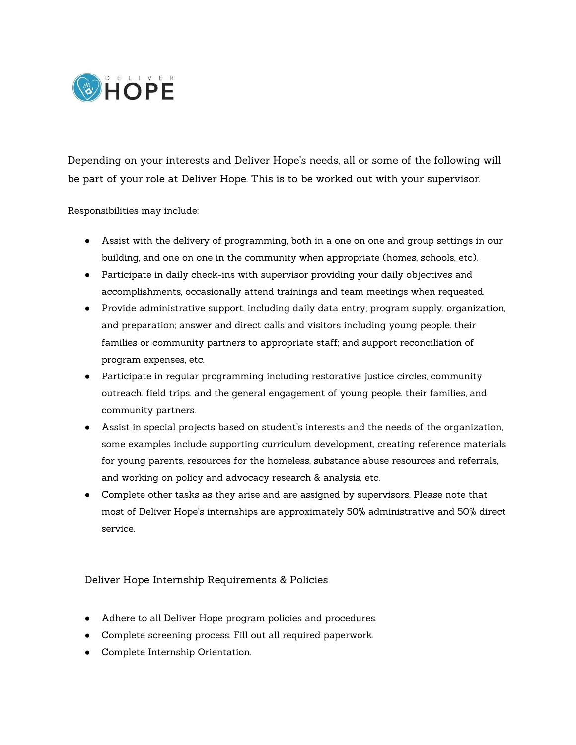

Depending on your interests and Deliver Hope's needs, all or some of the following will be part of your role at Deliver Hope. This is to be worked out with your supervisor.

Responsibilities may include:

- Assist with the delivery of programming, both in a one on one and group settings in our building, and one on one in the community when appropriate (homes, schools, etc).
- Participate in daily check-ins with supervisor providing your daily objectives and accomplishments, occasionally attend trainings and team meetings when requested.
- Provide administrative support, including daily data entry; program supply, organization, and preparation; answer and direct calls and visitors including young people, their families or community partners to appropriate staff; and support reconciliation of program expenses, etc.
- Participate in regular programming including restorative justice circles, community outreach, field trips, and the general engagement of young people, their families, and community partners.
- Assist in special projects based on student's interests and the needs of the organization, some examples include supporting curriculum development, creating reference materials for young parents, resources for the homeless, substance abuse resources and referrals, and working on policy and advocacy research & analysis, etc.
- Complete other tasks as they arise and are assigned by supervisors. Please note that most of Deliver Hope's internships are approximately 50% administrative and 50% direct service.

## Deliver Hope Internship Requirements & Policies

- Adhere to all Deliver Hope program policies and procedures.
- Complete screening process. Fill out all required paperwork.
- Complete Internship Orientation.